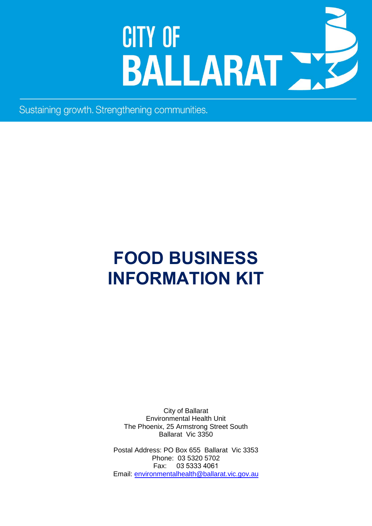# **CITY OF** BALLARAT NE

Sustaining growth. Strengthening communities.

# **FOOD BUSINESS INFORMATION KIT**

City of Ballarat Environmental Health Unit The Phoenix, 25 Armstrong Street South Ballarat Vic 3350

Postal Address: PO Box 655 Ballarat Vic 3353 Phone: 03 5320 5702 Fax: 03 5333 4061 Email: [environmentalhealth@ballarat.vic.gov.au](mailto:environmentalhealth@ballarat.vic.gov.au)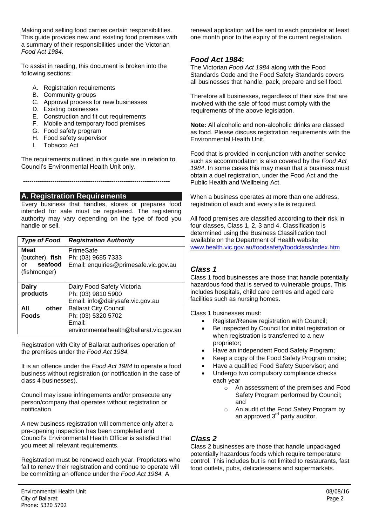Making and selling food carries certain responsibilities. This guide provides new and existing food premises with a summary of their responsibilities under the Victorian *Food Act 1984*.

To assist in reading, this document is broken into the following sections:

- A. Registration requirements
- B. Community groups
- C. Approval process for new businesses
- D. Existing businesses
- E. Construction and fit out requirements
- F. Mobile and temporary food premises
- G. Food safety program
- H. Food safety supervisor
- I. Tobacco Act

The requirements outlined in this guide are in relation to Council's Environmental Health Unit only.

----------------------------------------------------------------------

#### **A. Registration Requirements**

Every business that handles, stores or prepares food intended for sale must be registered. The registering authority may vary depending on the type of food you handle or sell.

| Type of Food    | <b>Registration Authority</b>           |
|-----------------|-----------------------------------------|
| Meat            | PrimeSafe                               |
| (butcher), fish | Ph: (03) 9685 7333                      |
| seafood<br>or   | Email: enquiries@primesafe.vic.gov.au   |
| (fishmonger)    |                                         |
|                 |                                         |
| <b>Dairy</b>    | Dairy Food Safety Victoria              |
| products        | Ph: (03) 9810 5900                      |
|                 | Email: info@dairysafe.vic.gov.au        |
| All<br>other    | <b>Ballarat City Council</b>            |
| <b>Foods</b>    | Ph: (03) 5320 5702                      |
|                 | Email:                                  |
|                 | environmentalhealth@ballarat.vic.gov.au |

Registration with City of Ballarat authorises operation of the premises under the *Food Act 1984.*

It is an offence under the *Food Act 1984* to operate a food business without registration (or notification in the case of class 4 businesses).

Council may issue infringements and/or prosecute any person/company that operates without registration or notification.

A new business registration will commence only after a pre-opening inspection has been completed and Council's Environmental Health Officer is satisfied that you meet all relevant requirements.

Registration must be renewed each year. Proprietors who fail to renew their registration and continue to operate will be committing an offence under the *Food Act 1984.* A

renewal application will be sent to each proprietor at least one month prior to the expiry of the current registration.

# *Food Act 1984***:**

The Victorian *Food Act 1984* along with the Food Standards Code and the Food Safety Standards covers all businesses that handle, pack, prepare and sell food.

Therefore all businesses, regardless of their size that are involved with the sale of food must comply with the requirements of the above legislation.

**Note:** All alcoholic and non-alcoholic drinks are classed as food. Please discuss registration requirements with the Environmental Health Unit.

Food that is provided in conjunction with another service such as accommodation is also covered by the *Food Act 1984*. In some cases this may mean that a business must obtain a duel registration, under the Food Act and the Public Health and Wellbeing Act.

When a business operates at more than one address, registration of each and every site is required.

All food premises are classified according to their risk in four classes, Class 1, 2, 3 and 4. Classification is determined using the Business Classification tool available on the Department of Health website [www.health.vic.gov.au/foodsafety/foodclass/index.htm](http://www.health.vic.gov.au/foodsafety/foodclass/index.htm)

# *Class 1*

Class 1 food businesses are those that handle potentially hazardous food that is served to vulnerable groups. This includes hospitals, child care centres and aged care facilities such as nursing homes.

Class 1 businesses must:

- Register/Renew registration with Council;
- Be inspected by Council for initial registration or when registration is transferred to a new proprietor;
- Have an independent Food Safety Program;
- Keep a copy of the Food Safety Program onsite;
- Have a qualified Food Safety Supervisor; and
- Undergo two compulsory compliance checks each year
	- o An assessment of the premises and Food Safety Program performed by Council; and
	- o An audit of the Food Safety Program by an approved 3<sup>rd</sup> party auditor.

# *Class 2*

Class 2 businesses are those that handle unpackaged potentially hazardous foods which require temperature control. This includes but is not limited to restaurants, fast food outlets, pubs, delicatessens and supermarkets.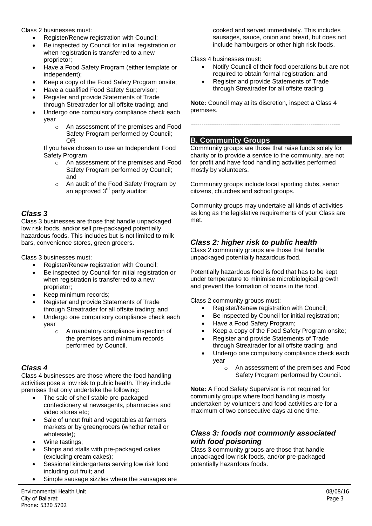Class 2 businesses must:

- Register/Renew registration with Council;
- Be inspected by Council for initial registration or when registration is transferred to a new proprietor;
- Have a Food Safety Program (either template or independent);
- Keep a copy of the Food Safety Program onsite;
- Have a qualified Food Safety Supervisor;
- Register and provide Statements of Trade through Streatrader for all offsite trading; and
- Undergo one compulsory compliance check each year
	- o An assessment of the premises and Food Safety Program performed by Council; OR

If you have chosen to use an Independent Food Safety Program

- o An assessment of the premises and Food Safety Program performed by Council; and
- o An audit of the Food Safety Program by an approved 3<sup>rd</sup> party auditor;

# *Class 3*

Class 3 businesses are those that handle unpackaged low risk foods, and/or sell pre-packaged potentially hazardous foods. This includes but is not limited to milk bars, convenience stores, green grocers.

Class 3 businesses must:

- Register/Renew registration with Council;
- Be inspected by Council for initial registration or when registration is transferred to a new proprietor;
- Keep minimum records;
- Register and provide Statements of Trade through Streatrader for all offsite trading; and
- Undergo one compulsory compliance check each year
	- o A mandatory compliance inspection of the premises and minimum records performed by Council.

# *Class 4*

Class 4 businesses are those where the food handling activities pose a low risk to public health. They include premises that only undertake the following:

- The sale of shelf stable pre-packaged confectionery at newsagents, pharmacies and video stores etc;
- Sale of uncut fruit and vegetables at farmers markets or by greengrocers (whether retail or wholesale);
- Wine tastings:
- Shops and stalls with pre-packaged cakes (excluding cream cakes);
- Sessional kindergartens serving low risk food including cut fruit; and
- Simple sausage sizzles where the sausages are

cooked and served immediately. This includes sausages, sauce, onion and bread, but does not include hamburgers or other high risk foods.

Class 4 businesses must:

- Notify Council of their food operations but are not required to obtain formal registration; and
- Register and provide Statements of Trade through Streatrader for all offsite trading.

**Note:** Council may at its discretion, inspect a Class 4 premises.

-----------------------------------------------------------------------

#### **B. Community Groups**

Community groups are those that raise funds solely for charity or to provide a service to the community, are not for profit and have food handling activities performed mostly by volunteers.

Community groups include local sporting clubs, senior citizens, churches and school groups.

Community groups may undertake all kinds of activities as long as the legislative requirements of your Class are met.

# *Class 2: higher risk to public health*

Class 2 community groups are those that handle unpackaged potentially hazardous food.

Potentially hazardous food is food that has to be kept under temperature to minimise microbiological growth and prevent the formation of toxins in the food.

Class 2 community groups must:

- Register/Renew registration with Council;
- Be inspected by Council for initial registration;
- Have a Food Safety Program;
- Keep a copy of the Food Safety Program onsite;
- Register and provide Statements of Trade through Streatrader for all offsite trading; and
- Undergo one compulsory compliance check each year
	- o An assessment of the premises and Food Safety Program performed by Council.

**Note:** A Food Safety Supervisor is not required for community groups where food handling is mostly undertaken by volunteers and food activities are for a maximum of two consecutive days at one time.

# *Class 3: foods not commonly associated with food poisoning*

Class 3 community groups are those that handle unpackaged low risk foods, and/or pre-packaged potentially hazardous foods.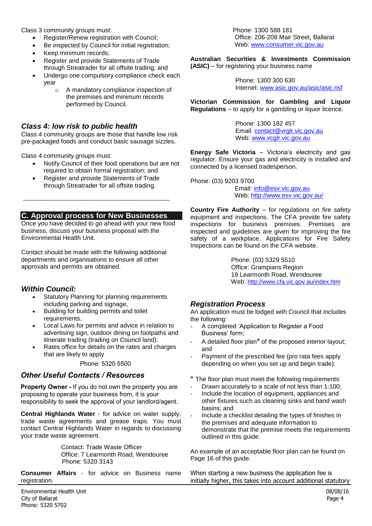Class 3 community groups must:

- Register/Renew registration with Council;
- Be inspected by Council for initial registration:
- Keep minimum records;
- Register and provide Statements of Trade through Streatrader for all offsite trading; and
- Undergo one compulsory compliance check each year
	- o A mandatory compliance inspection of the premises and minimum records performed by Council.

#### *Class 4: low risk to public health*

Class 4 community groups are those that handle low risk pre-packaged foods and conduct basic sausage sizzles.

Class 4 community groups must:

- Notify Council of their food operations but are not required to obtain formal registration; and
- Register and provide Statements of Trade through Streatrader for all offsite trading.

----------------------------------------------------------------------

# **C. Approval process for New Businesses**

Once you have decided to go ahead with your new food business, discuss your business proposal with the Environmental Health Unit.

Contact should be made with the following additional departments and organisations to ensure all other approvals and permits are obtained.

# *Within Council:*

- Statutory Planning for planning requirements including parking and signage,
- Building for building permits and toilet requirements,
- Local Laws for permits and advice in relation to advertising sign, outdoor dining on footpaths and itinerate trading (trading on Council land).
- Rates office for details on the rates and charges that are likely to apply

Phone: 5320 5500

# *Other Useful Contacts / Resources*

 proposing to operate your business from, it is your **Property Owner -** If you do not own the property you are responsibility to seek the approval of your landlord/agent.

**Central Highlands Water** - for advice on water supply, trade waste agreements and grease traps. You must contact Central Highlands Water in regards to discussing your trade waste agreement.

> Contact: Trade Waste Officer Office: 7 Learmonth Road, Wendouree Phone: 5320 3143

**Consumer Affairs** - for advice on Business name registration.

 Phone: 1300 588 181 Office: 206-208 Mair Street, Ballarat Web: [www.consumer.vic.gov.au](http://www.consumer.vic.gov.au/)

**Australian Securities & Investments Commission (ASIC)** – for registering your business name

> Phone: 1300 300 630 Internet: [www.asic.gov.au/asic/asic.nsf](http://www.asic.gov.au/asic/asic.nsf)

**Victorian Commission for Gambling and Liquor Regulations** – to apply for a gambling or liquor licence.

> Phone: 1300 182 457 Email: [contact@vrglr.vic.gov.au](mailto:contact@vrglr.vic.gov.au) Web: [www.vcglr.vic.gov.au](http://www.vcglr.vic.gov.au/)

**Energy Safe Victoria** – Victoria's electricity and gas regulator. Ensure your gas and electricity is installed and connected by a licensed tradesperson.

Phone: (03) 9203 9700

Email: [info@esv.vic.gov.au](mailto:info@esv.vic.gov.au) Web:<http://www.esv.vic.gov.au/>

**Country Fire Authority** – for regulations on fire safety equipment and inspections. The CFA provide fire safety inspections for business premises. Premises are inspected and guidelines are given for improving the fire safety of a workplace. Applications for Fire Safety Inspections can be found on the CFA website.

> Phone: (03) 5329 5510 Office: Grampians Region 19 Learmonth Road, Wendouree Web: <http://www.cfa.vic.gov.au/index.htm>

# *Registration Process*

An application must be lodged with Council that includes the following:

- A completed 'Application to Register a Food Business' form;
- A detailed floor plan<sup>\*</sup> of the proposed interior layout; and
- Payment of the prescribed fee (pro rata fees apply depending on when you set up and begin trade).

\* The floor plan must meet the following requirements:

- Drawn accurately to a scale of not less than 1:100;
- Include the location of equipment, appliances and other fixtures such as cleaning sinks and hand wash basins; and
- Include a checklist detailing the types of finishes in the premises and adequate information to demonstrate that the premise meets the requirements outlined in this guide.

An example of an acceptable floor plan can be found on Page 16 of this guide.

When starting a new business the application fee is initially higher, this takes into account additional statutory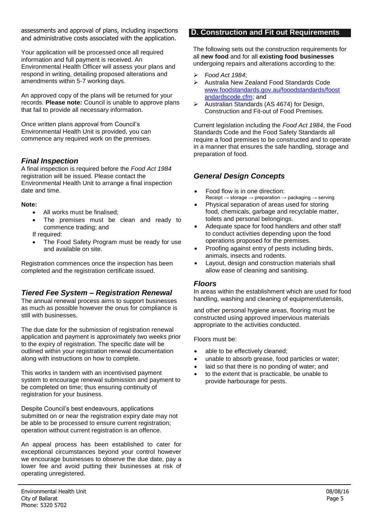assessments and approval of plans, including inspections and administrative costs associated with the application.

Your application will be processed once all required information and full payment is received. An Environmental Health Officer will assess your plans and respond in writing, detailing proposed alterations and amendments within 5-7 working days.

An approved copy of the plans will be returned for your records. **Please note:** Council is unable to approve plans that fail to provide all necessary information.

Once written plans approval from Council's Environmental Health Unit is provided, you can commence any required work on the premises.

# *Final Inspection*

A final inspection is required before the *Food Act 1984*  registration will be issued. Please contact the Environmental Health Unit to arrange a final inspection date and time.

#### **Note:**

- All works must be finalised;
- The premises must be clean and ready to commence trading; and

If required:

 The Food Safety Program must be ready for use and available on site.

Registration commences once the inspection has been completed and the registration certificate issued.

# *Tiered Fee System – Registration Renewal*

The annual renewal process aims to support businesses as much as possible however the onus for compliance is still with businesses.

The due date for the submission of registration renewal application and payment is approximately two weeks prior to the expiry of registration. The specific date will be outlined within your registration renewal documentation along with instructions on how to complete.

This works in tandem with an incentivised payment system to encourage renewal submission and payment to be completed on time; thus ensuring continuity of registration for your business.

Despite Council's best endeavours, applications submitted on or near the registration expiry date may not be able to be processed to ensure current registration; operation without current registration is an offence.

An appeal process has been established to cater for exceptional circumstances beyond your control however we encourage businesses to observe the due date, pay a lower fee and avoid putting their businesses at risk of operating unregistered.

#### **D. Construction and Fit out Requirements**

The following sets out the construction requirements for all **new food** and for all **existing food businesses**  undergoing repairs and alterations according to the:

- *Food Act 1984*;
- Australia New Zealand Food Standards Code www.foodstandards.gov.au/fooodstandards/foost andardscode.cfm; and
- $\triangleright$  Australian Standards (AS 4674) for Design, Construction and Fit-out of Food Premises.

Current legislation including the *Food Act 1984*, the Food Standards Code and the Food Safety Standards all require a food premises to be constructed and to operate in a manner that ensures the safe handling, storage and preparation of food.

# *General Design Concepts*

- Food flow is in one direction: Receipt  $\rightarrow$  storage  $\rightarrow$  preparation  $\rightarrow$  packaging  $\rightarrow$  serving
- Physical separation of areas used for storing food, chemicals, garbage and recyclable matter, toilets and personal belongings.
- Adequate space for food handlers and other staff to conduct activities depending upon the food operations proposed for the premises.
- Proofing against entry of pests including birds, animals, insects and rodents.
- [Layout, design and construction materials shall](http://www.foodstandards.gov.au/fooodstandards/foostandardscode.cfm) [allow ease of cleaning](http://www.foodstandards.gov.au/fooodstandards/foostandardscode.cfm) and sanitising.

#### *Floors*

In areas within the establishment which are used for food handling, washing and cleaning of equipment/utensils,

and other personal hygiene areas, flooring must be constructed using approved impervious materials appropriate to the activities conducted.

Floors must be:

- able to be effectively cleaned;
- unable to absorb grease, food particles or water;
- laid so that there is no ponding of water; and
- to the extent that is practicable, be unable to provide harbourage for pests.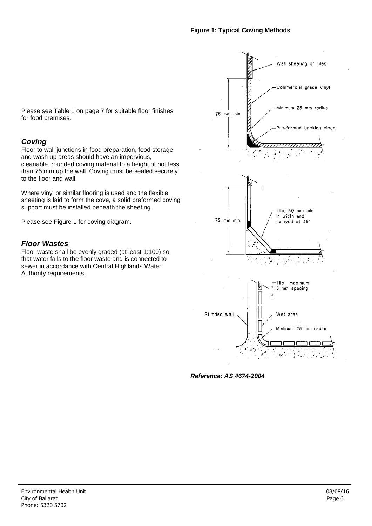Please see Table 1 on page 7 for suitable floor finishes for food premises.

# *Coving*

Floor to wall junctions in food preparation, food storage and wash up areas should have an impervious, cleanable, rounded coving material to a height of not less than 75 mm up the wall. Coving must be sealed securely to the floor and wall.

Where vinyl or similar flooring is used and the flexible sheeting is laid to form the cove, a solid preformed coving support must be installed beneath the sheeting.

Please see Figure 1 for coving diagram.

### *Floor Wastes*

Floor waste shall be evenly graded (at least 1:100) so that water falls to the floor waste and is connected to sewer in accordance with Central Highlands Water Authority requirements.



*Reference: AS 4674-2004*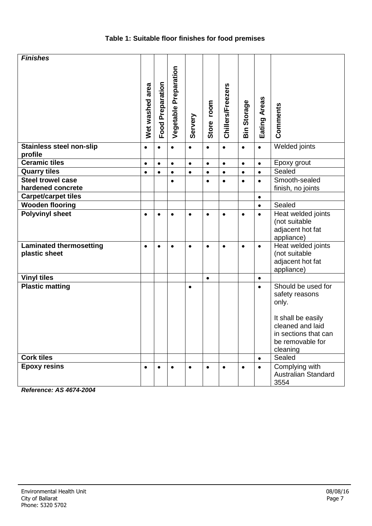# **Table 1: Suitable floor finishes for food premises**

| <b>Finishes</b>                                 |                 |                  |                       |           |            |                   |                    |              |                                                                                                |
|-------------------------------------------------|-----------------|------------------|-----------------------|-----------|------------|-------------------|--------------------|--------------|------------------------------------------------------------------------------------------------|
|                                                 | Wet washed area | Food Preparation | Vegetable Preparation | Servery   | Store room | Chillers/Freezers | <b>Bin Storage</b> | Eating Areas | Comments                                                                                       |
| <b>Stainless steel non-slip</b><br>profile      | $\bullet$       | $\bullet$        | $\bullet$             | $\bullet$ | $\bullet$  | $\bullet$         | $\bullet$          | $\bullet$    | Welded joints                                                                                  |
| <b>Ceramic tiles</b>                            | $\bullet$       | $\bullet$        | $\bullet$             | $\bullet$ | $\bullet$  | $\bullet$         | $\bullet$          | $\bullet$    | Epoxy grout                                                                                    |
| <b>Quarry tiles</b>                             | $\bullet$       | $\bullet$        | $\bullet$             | $\bullet$ | $\bullet$  | $\bullet$         | $\bullet$          | $\bullet$    | Sealed                                                                                         |
| <b>Steel trowel case</b><br>hardened concrete   |                 |                  | $\bullet$             |           | $\bullet$  | $\bullet$         | $\bullet$          | $\bullet$    | Smooth-sealed<br>finish, no joints                                                             |
| Carpet/carpet tiles                             |                 |                  |                       |           |            |                   |                    | $\bullet$    |                                                                                                |
| <b>Wooden flooring</b>                          |                 |                  |                       |           |            |                   |                    | $\bullet$    | Sealed                                                                                         |
| <b>Polyvinyl sheet</b>                          | $\bullet$       | $\bullet$        | $\bullet$             | $\bullet$ | $\bullet$  | $\bullet$         | $\bullet$          | $\bullet$    | Heat welded joints<br>(not suitable<br>adjacent hot fat<br>appliance)                          |
| <b>Laminated thermosetting</b><br>plastic sheet | $\bullet$       | $\bullet$        | $\bullet$             | $\bullet$ | $\bullet$  | $\bullet$         | $\bullet$          | $\bullet$    | Heat welded joints<br>(not suitable<br>adjacent hot fat<br>appliance)                          |
| <b>Vinyl tiles</b>                              |                 |                  |                       |           | $\bullet$  |                   |                    | $\bullet$    |                                                                                                |
| <b>Plastic matting</b>                          |                 |                  |                       | $\bullet$ |            |                   |                    | $\bullet$    | Should be used for<br>safety reasons<br>only.                                                  |
|                                                 |                 |                  |                       |           |            |                   |                    |              | It shall be easily<br>cleaned and laid<br>in sections that can<br>be removable for<br>cleaning |
| <b>Cork tiles</b>                               |                 |                  |                       |           |            |                   |                    | $\bullet$    | Sealed                                                                                         |
| <b>Epoxy resins</b>                             | $\bullet$       | $\bullet$        | $\bullet$             | $\bullet$ | $\bullet$  | $\bullet$         | $\bullet$          | $\bullet$    | Complying with<br>Australian Standard<br>3554                                                  |

*Reference: AS 4674-2004*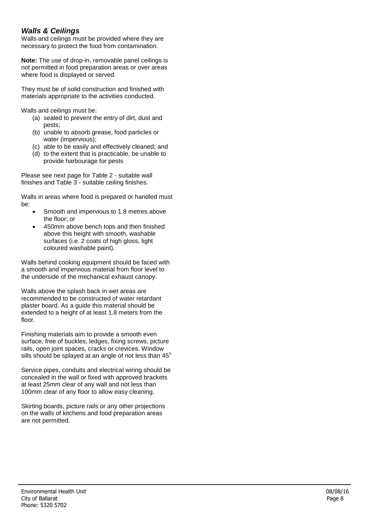# *Walls & Ceilings*

Walls and ceilings must be provided where they are necessary to protect the food from contamination.

**Note:** The use of drop-in, removable panel ceilings is not permitted in food preparation areas or over areas where food is displayed or served.

They must be of solid construction and finished with materials appropriate to the activities conducted.

Walls and ceilings must be:

- (a) sealed to prevent the entry of dirt, dust and pests;
- (b) unable to absorb grease, food particles or water (impervious);
- (c) able to be easily and effectively cleaned; and
- (d) to the extent that is practicable, be unable to provide harbourage for pests

Please see next page for Table 2 - suitable wall finishes and Table  $3$  - suitable ceiling finishes.

Walls in areas where food is prepared or handled must be:

- Smooth and impervious to 1.8 metres above the floor; or
- 450mm above bench tops and then finished above this height with smooth, washable surfaces (i.e. 2 coats of high gloss, light coloured washable paint).

Walls behind cooking equipment should be faced with a smooth and impervious material from floor level to the underside of the mechanical exhaust canopy.

Walls above the splash back in wet areas are recommended to be constructed of water retardant plaster board. As a guide this material should be extended to a height of at least 1.8 meters from the floor.

Finishing materials aim to provide a smooth even surface, free of buckles, ledges, fixing screws, picture rails, open joint spaces, cracks or crevices. Window sills should be splayed at an angle of not less than 45 $^{\circ}$ 

Service pipes, conduits and electrical wiring should be concealed in the wall or fixed with approved brackets at least 25mm clear of any wall and not less than 100mm clear of any floor to allow easy cleaning.

Skirting boards, picture rails or any other projections on the walls of kitchens and food preparation areas are not permitted.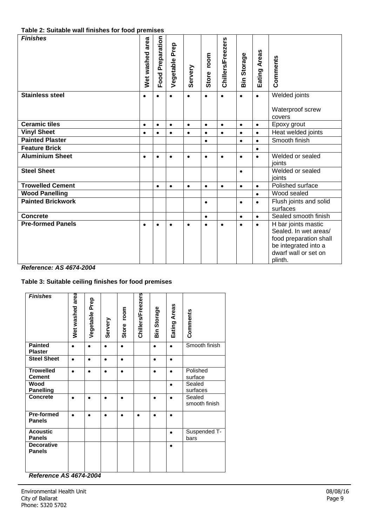#### **Table 2: Suitable wall finishes for food premises**

| <b>Finishes</b>          | area<br>Wet washed | Preparation<br>Food | Prep<br>Vegetable | Servery   | room<br>Store | <b>Chillers/Freezers</b> | Storage<br>sin <sub>2</sub> | <b>Areas</b><br>Eating | Comments                   |
|--------------------------|--------------------|---------------------|-------------------|-----------|---------------|--------------------------|-----------------------------|------------------------|----------------------------|
| <b>Stainless steel</b>   | $\bullet$          | $\bullet$           | $\bullet$         | $\bullet$ | $\bullet$     | $\bullet$                | $\bullet$                   | $\bullet$              | Welded joints              |
|                          |                    |                     |                   |           |               |                          |                             |                        | Waterproof screw<br>covers |
| <b>Ceramic tiles</b>     | $\bullet$          | $\bullet$           | $\bullet$         | $\bullet$ | $\bullet$     | $\bullet$                | $\bullet$                   | $\bullet$              | Epoxy grout                |
| <b>Vinyl Sheet</b>       | $\bullet$          | $\bullet$           | $\bullet$         | $\bullet$ | $\bullet$     | $\bullet$                | $\bullet$                   | $\bullet$              | Heat welded joints         |
| <b>Painted Plaster</b>   |                    |                     |                   |           | $\bullet$     |                          | $\bullet$                   | $\bullet$              | Smooth finish              |
| <b>Feature Brick</b>     |                    |                     |                   |           |               |                          |                             | $\bullet$              |                            |
| <b>Aluminium Sheet</b>   | $\bullet$          | $\bullet$           | $\bullet$         | $\bullet$ | $\bullet$     | $\bullet$                | $\bullet$                   | $\bullet$              | Welded or sealed           |
|                          |                    |                     |                   |           |               |                          |                             |                        | ioints                     |
| <b>Steel Sheet</b>       |                    |                     |                   |           |               |                          | $\bullet$                   |                        | Welded or sealed           |
|                          |                    |                     |                   |           |               |                          |                             |                        | joints                     |
| <b>Trowelled Cement</b>  |                    | $\bullet$           | $\bullet$         | $\bullet$ | $\bullet$     | $\bullet$                | $\bullet$                   | $\bullet$              | Polished surface           |
| <b>Wood Panelling</b>    |                    |                     |                   |           |               |                          |                             | $\bullet$              | Wood sealed                |
| <b>Painted Brickwork</b> |                    |                     |                   |           | $\bullet$     |                          | $\bullet$                   | $\bullet$              | Flush joints and solid     |
|                          |                    |                     |                   |           |               |                          |                             |                        | surfaces                   |
| <b>Concrete</b>          |                    |                     |                   |           | $\bullet$     |                          | $\bullet$                   | $\bullet$              | Sealed smooth finish       |
| <b>Pre-formed Panels</b> | $\bullet$          | $\bullet$           | ٠                 | $\bullet$ | $\bullet$     | ٠                        | $\bullet$                   | $\bullet$              | H bar joints mastic        |
|                          |                    |                     |                   |           |               |                          |                             |                        | Sealed. In wet areas/      |
|                          |                    |                     |                   |           |               |                          |                             |                        | food preparation shall     |
|                          |                    |                     |                   |           |               |                          |                             |                        | be integrated into a       |
|                          |                    |                     |                   |           |               |                          |                             |                        | dwarf wall or set on       |
|                          |                    |                     |                   |           |               |                          |                             |                        | plinth.                    |

#### *Reference: AS 4674-2004*

# **Table 3: Suitable ceiling finishes for food premises**

| <b>Finishes</b>                                            | area<br>Wet washed | Vegetable Prep | Servery   | room<br>Store | Chillers/Freezers | Storage<br>ain | Eating Areas | Comments                |
|------------------------------------------------------------|--------------------|----------------|-----------|---------------|-------------------|----------------|--------------|-------------------------|
| <b>Painted</b><br><b>Plaster</b>                           | $\bullet$          | $\bullet$      | $\bullet$ | ٠             |                   | $\bullet$      | $\bullet$    | Smooth finish           |
| <b>Steel Sheet</b>                                         | $\bullet$          | ٠              | ٠         | ٠             |                   | $\bullet$      | $\bullet$    |                         |
| <b>Trowelled</b><br><b>Cement</b>                          | $\bullet$          | ٠              | ٠         | ٠             |                   | $\bullet$      | $\bullet$    | Polished<br>surface     |
| Wood<br><b>Panelling</b>                                   |                    |                |           |               |                   |                | $\bullet$    | Sealed<br>surfaces      |
| <b>Concrete</b>                                            |                    |                | ۸         | $\bullet$     |                   | $\bullet$      | ٠            | Sealed<br>smooth finish |
| <b>Pre-formed</b><br><b>Panels</b>                         | ٠                  | ٠              | ٠         | ٠             | $\bullet$         | $\bullet$      | $\bullet$    |                         |
| <b>Acoustic</b><br><b>Panels</b>                           |                    |                |           |               |                   |                | $\bullet$    | Suspended T-<br>bars    |
| <b>Decorative</b><br><b>Panels</b><br>$\ddot{\phantom{1}}$ |                    | 1071001        |           |               |                   |                | $\bullet$    |                         |

*Reference AS 4674-2004*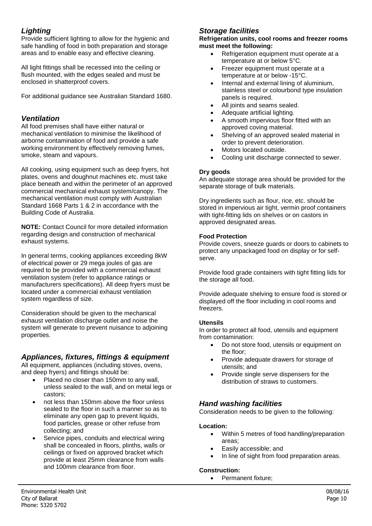# *Lighting*

Provide sufficient lighting to allow for the hygienic and safe handling of food in both preparation and storage areas and to enable easy and effective cleaning.

All light fittings shall be recessed into the ceiling or flush mounted, with the edges sealed and must be enclosed in shatterproof covers.

For additional guidance see Australian Standard 1680.

# *Ventilation*

All food premises shall have either natural or mechanical ventilation to minimise the likelihood of airborne contamination of food and provide a safe working environment by effectively removing fumes, smoke, steam and vapours.

All cooking, using equipment such as deep fryers, hot plates, ovens and doughnut machines etc. must take place beneath and within the perimeter of an approved commercial mechanical exhaust system/canopy. The mechanical ventilation must comply with Australian Standard 1668 Parts 1 & 2 in accordance with the Building Code of Australia.

**NOTE:** Contact Council for more detailed information regarding design and construction of mechanical exhaust systems.

In general terms, cooking appliances exceeding 8kW of electrical power or 29 mega joules of gas are required to be provided with a commercial exhaust ventilation system (refer to appliance ratings or manufacturers specifications). All deep fryers must be located under a commercial exhaust ventilation system regardless of size.

Consideration should be given to the mechanical exhaust ventilation discharge outlet and noise the system will generate to prevent nuisance to adjoining properties.

# *Appliances, fixtures, fittings & equipment*

All equipment, appliances (including stoves, ovens, and deep fryers) and fittings should be:

- Placed no closer than 150mm to any wall, unless sealed to the wall, and on metal legs or castors;
- not less than 150mm above the floor unless sealed to the floor in such a manner so as to eliminate any open gap to prevent liquids, food particles, grease or other refuse from collecting; and
- Service pipes, conduits and electrical wiring shall be concealed in floors, plinths, walls or ceilings or fixed on approved bracket which provide at least 25mm clearance from walls and 100mm clearance from floor.

# *Storage facilities*

#### **Refrigeration units, cool rooms and freezer rooms must meet the following:**

- Refrigeration equipment must operate at a temperature at or below 5°C.
- Freezer equipment must operate at a temperature at or below -15°C.
- Internal and external lining of aluminium, stainless steel or colourbond type insulation panels is required.
- All joints and seams sealed.
- Adequate artificial lighting.
- A smooth impervious floor fitted with an approved coving material.
- Shelving of an approved sealed material in order to prevent deterioration.
- Motors located outside.
- Cooling unit discharge connected to sewer.

#### **Dry goods**

An adequate storage area should be provided for the separate storage of bulk materials.

Dry ingredients such as flour, rice, etc. should be stored in impervious air tight, vermin proof containers with tight-fitting lids on shelves or on castors in approved designated areas.

#### **Food Protection**

Provide covers, sneeze guards or doors to cabinets to protect any unpackaged food on display or for selfserve.

Provide food grade containers with tight fitting lids for the storage all food.

Provide adequate shelving to ensure food is stored or displayed off the floor including in cool rooms and freezers.

#### **Utensils**

In order to protect all food, utensils and equipment from contamination:

- Do not store food, utensils or equipment on the floor;
- Provide adequate drawers for storage of utensils; and
- Provide single serve dispensers for the distribution of straws to customers.

# *Hand washing facilities*

Consideration needs to be given to the following:

#### **Location:**

- Within 5 metres of food handling/preparation areas;
- Easily accessible; and
- In line of sight from food preparation areas.

#### **Construction:**

• Permanent fixture: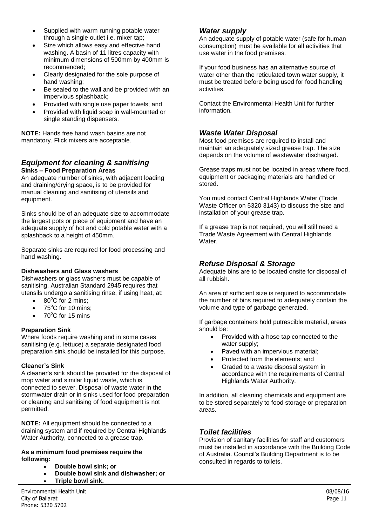- Supplied with warm running potable water through a single outlet i.e. mixer tap;
- Size which allows easy and effective hand washing. A basin of 11 litres capacity with minimum dimensions of 500mm by 400mm is recommended;
- Clearly designated for the sole purpose of hand washing;
- Be sealed to the wall and be provided with an impervious splashback;
- Provided with single use paper towels; and
- Provided with liquid soap in wall-mounted or single standing dispensers.

**NOTE:** Hands free hand wash basins are not mandatory. Flick mixers are acceptable.

# *Equipment for cleaning & sanitising*  **Sinks – Food Preparation Areas**

An adequate number of sinks, with adjacent loading and draining/drying space, is to be provided for manual cleaning and sanitising of utensils and equipment.

Sinks should be of an adequate size to accommodate the largest pots or piece of equipment and have an adequate supply of hot and cold potable water with a splashback to a height of 450mm.

Separate sinks are required for food processing and hand washing.

#### **Dishwashers and Glass washers**

Dishwashers or glass washers must be capable of sanitising. Australian Standard 2945 requires that utensils undergo a sanitising rinse, if using heat, at:

- $\bullet$  80 $^{\circ}$ C for 2 mins:
- $\bullet$  75°C for 10 mins:
- $70^{\circ}$ C for 15 mins

#### **Preparation Sink**

Where foods require washing and in some cases sanitising (e.g. lettuce) a separate designated food preparation sink should be installed for this purpose.

#### **Cleaner's Sink**

A cleaner's sink should be provided for the disposal of mop water and similar liquid waste, which is connected to sewer. Disposal of waste water in the stormwater drain or in sinks used for food preparation or cleaning and sanitising of food equipment is not permitted.

**NOTE:** All equipment should be connected to a draining system and if required by Central Highlands Water Authority, connected to a grease trap.

#### **As a minimum food premises require the following:**

- **Double bowl sink; or**
- **Double bowl sink and dishwasher; or**
- **Triple bowl sink.**

#### *Water supply*

An adequate supply of potable water (safe for human consumption) must be available for all activities that use water in the food premises.

If your food business has an alternative source of water other than the reticulated town water supply, it must be treated before being used for food handling activities.

Contact the Environmental Health Unit for further information.

# *Waste Water Disposal*

Most food premises are required to install and maintain an adequately sized grease trap. The size depends on the volume of wastewater discharged.

Grease traps must not be located in areas where food, equipment or packaging materials are handled or stored.

You must contact Central Highlands Water (Trade Waste Officer on 5320 3143) to discuss the size and installation of your grease trap.

If a grease trap is not required, you will still need a Trade Waste Agreement with Central Highlands Water.

# *Refuse Disposal & Storage*

Adequate bins are to be located onsite for disposal of all rubbish.

An area of sufficient size is required to accommodate the number of bins required to adequately contain the volume and type of garbage generated.

If garbage containers hold putrescible material, areas should be:

- Provided with a hose tap connected to the water supply;
- Paved with an impervious material;
- Protected from the elements; and
- Graded to a waste disposal system in accordance with the requirements of Central Highlands Water Authority.

In addition, all cleaning chemicals and equipment are to be stored separately to food storage or preparation areas.

# *Toilet facilities*

Provision of sanitary facilities for staff and customers must be installed in accordance with the Building Code of Australia. Council's Building Department is to be consulted in regards to toilets.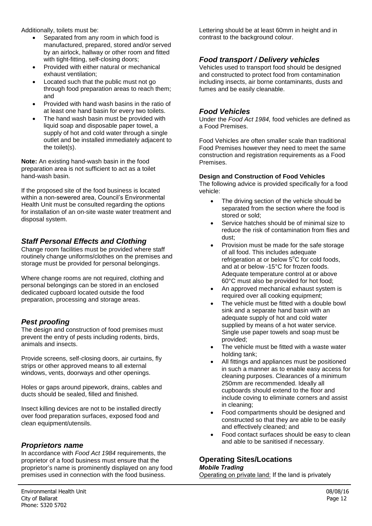Additionally, toilets must be:

- Separated from any room in which food is manufactured, prepared, stored and/or served by an airlock, hallway or other room and fitted with tight-fitting, self-closing doors;
- Provided with either natural or mechanical exhaust ventilation;
- Located such that the public must not go through food preparation areas to reach them; and
- Provided with hand wash basins in the ratio of at least one hand basin for every two toilets.
- The hand wash basin must be provided with liquid soap and disposable paper towel, a supply of hot and cold water through a single outlet and be installed immediately adjacent to the toilet(s).

**Note:** An existing hand-wash basin in the food preparation area is not sufficient to act as a toilet hand-wash basin.

If the proposed site of the food business is located within a non-sewered area, Council's Environmental Health Unit must be consulted regarding the options for installation of an on-site waste water treatment and disposal system.

# *Staff Personal Effects and Clothing*

Change room facilities must be provided where staff routinely change uniforms/clothes on the premises and storage must be provided for personal belongings.

Where change rooms are not required, clothing and personal belongings can be stored in an enclosed dedicated cupboard located outside the food preparation, processing and storage areas.

# *Pest proofing*

The design and construction of food premises must prevent the entry of pests including rodents, birds, animals and insects.

Provide screens, self-closing doors, air curtains, fly strips or other approved means to all external windows, vents, doorways and other openings.

Holes or gaps around pipework, drains, cables and ducts should be sealed, filled and finished.

Insect killing devices are not to be installed directly over food preparation surfaces, exposed food and clean equipment/utensils.

# *Proprietors name*

In accordance with *Food Act 1984* requirements, the proprietor of a food business must ensure that the proprietor's name is prominently displayed on any food premises used in connection with the food business.

Lettering should be at least 60mm in height and in contrast to the background colour.

# *Food transport / Delivery vehicles*

Vehicles used to transport food should be designed and constructed to protect food from contamination including insects, air borne contaminants, dusts and fumes and be easily cleanable.

# *Food Vehicles*

Under the *Food Act 1984,* food vehicles are defined as a Food Premises.

Food Vehicles are often smaller scale than traditional Food Premises however they need to meet the same construction and registration requirements as a Food Premises.

#### **Design and Construction of Food Vehicles**

The following advice is provided specifically for a food vehicle:

- The driving section of the vehicle should be separated from the section where the food is stored or sold;
- Service hatches should be of minimal size to reduce the risk of contamination from flies and dust;
- Provision must be made for the safe storage of all food. This includes adequate refrigeration at or below  $5^{\circ}$ C for cold foods. and at or below -15°C for frozen foods. Adequate temperature control at or above 60°C must also be provided for hot food;
- An approved mechanical exhaust system is required over all cooking equipment;
- The vehicle must be fitted with a double bowl sink and a separate hand basin with an adequate supply of hot and cold water supplied by means of a hot water service. Single use paper towels and soap must be provided;
- The vehicle must be fitted with a waste water holding tank;
- All fittings and appliances must be positioned in such a manner as to enable easy access for cleaning purposes. Clearances of a minimum 250mm are recommended. Ideally all cupboards should extend to the floor and include coving to eliminate corners and assist in cleaning;
- Food compartments should be designed and constructed so that they are able to be easily and effectively cleaned; and
- Food contact surfaces should be easy to clean and able to be sanitised if necessary.

# **Operating Sites/Locations**

#### *Mobile Trading*

Operating on private land: If the land is privately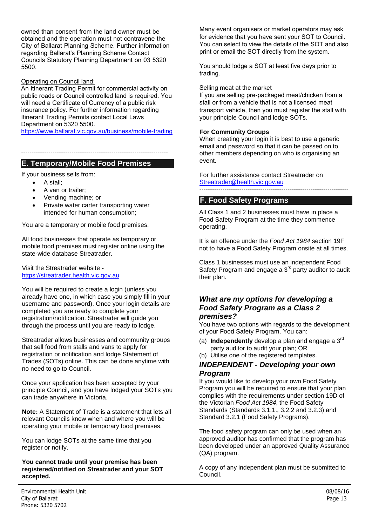owned than consent from the land owner must be obtained and the operation must not contravene the City of Ballarat Planning Scheme. Further information regarding Ballarat's Planning Scheme Contact Councils Statutory Planning Department on 03 5320 5500.

#### Operating on Council land:

An Itinerant Trading Permit for commercial activity on public roads or Council controlled land is required. You will need a Certificate of Currency of a public risk insurance policy. For further information regarding Itinerant Trading Permits contact Local Laws Department on 5320 5500.

https://www.ballarat.vic.gov.au/business/mobile-trading

----------------------------------------------------------------------

# **E. Temporary/Mobile Food Premises**

If your business sells from:

- [A stall;](https://streatrader.health.vic.gov.au/)
- A van or trailer;
- Vending machine; or
- Private water carter transporting water intended for human consumption;

You are a temporary or mobile food premises.

All food businesses that operate as temporary or mobile food premises must register online using the state-wide database Streatrader.

Visit the Streatrader website https://streatrader.health.vic.gov.au

You will be required to create a login (unless you already have one, in which case you simply fill in your username and password). Once your login details are completed you are ready to complete your registration/notification. Streatrader will guide you through the process until you are ready to lodge.

Streatrader allows businesses and community groups that sell food from stalls and vans to apply for registration or notification and lodge Statement of Trades (SOTs) online. This can be done anytime with no need to go to Council.

Once your application has been accepted by your principle Council, and you have lodged your SOTs you can trade anywhere in Victoria.

**Note:** A Statement of Trade is a statement that lets all relevant Councils know when and where you will be operating your mobile or temporary food premises.

You can lodge SOTs at the same time that you register or notify.

#### **You cannot trade until your premise has been registered/notified on Streatrader and your SOT accepted.**

Many event organisers or market operators may ask for evidence that you have sent your SOT to Council. You can select to view the details of the SOT and also print or email the SOT directly from the system.

You should lodge a SOT at least five days prior to trading.

#### Selling meat at the market

[If you are selling pre-packaged](mailto:Streatrader@health.vic.gov.au) meat/chicken from a stall or from a vehicle that is not a licensed meat transport vehicle, then you must register the stall with your principle Council and lodge SOTs.

#### **For Community Groups**

When creating your login it is best to use a generic email and password so that it can be passed on to other members depending on who is organising an event.

For further assistance contact Streatrader on Streatrader@health.vic.gov.au

#### -----------------------------------------------------------------------

#### **F. Food Safety Programs**

All Class 1 and 2 businesses must have in place a Food Safety Program at the time they commence operating.

It is an offence under the *Food Act 1984* section 19F not to have a Food Safety Program onsite at all times.

Class 1 businesses must use an independent Food Safety Program and engage a  $3<sup>rd</sup>$  party auditor to audit their plan.

#### *What are my options for developing a Food Safety Program as a Class 2 premises?*

You have two options with regards to the development of your Food Safety Program. You can:

- (a) **Independently** develop a plan and engage a 3rd party auditor to audit your plan; OR
- (b) Utilise one of the registered templates.

#### *INDEPENDENT - Developing your own Program*

If you would like to develop your own Food Safety Program you will be required to ensure that your plan complies with the requirements under section 19D of the Victorian *Food Act 1984*, the Food Safety Standards (Standards 3.1.1., 3.2.2 and 3.2.3) and Standard 3.2.1 (Food Safety Programs).

The food safety program can only be used when an approved auditor has confirmed that the program has been developed under an approved Quality Assurance (QA) program.

[A copy of any independent plan must be submitted to](http://docs.health.vic.gov.au/docs/doc/Department-of-Health-registered-Food-Safety-Program-Templates)  Council.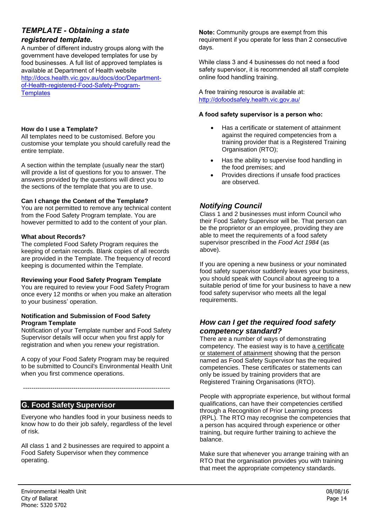# *TEMPLATE - Obtaining a state registered template.*

A number of different industry groups along with the government have developed templates for use by food businesses. A full list of approved templates is available at Department of Health website http://docs.health.vic.gov.au/docs/doc/Departmentof-Health-registered-Food-Safety-Program-**Templates** 

#### **How do I use a Template?**

All templates need to be customised. Before you customise your template you should carefully read the entire template.

A section within the template (usually near the start) will provide a list of questions for you to answer. The answers provided by the questions will direct you to the sections of the template that you are to use.

#### **Can I change the Content of the Template?**

You are not permitted to remove any technical content from the Food Safety Program template. You are however permitted to add to the content of your plan.

#### **What about Records?**

The completed Food Safety Program requires the keeping of certain records. Blank copies of all records are provided in the Template. The frequency of record keeping is documented within the Template.

#### **Reviewing your Food Safety Program Template**

You are required to review your Food Safety Program once every 12 months or when you make an alteration to your business' operation.

#### **Notification and Submission of Food Safety Program Template**

Notification of your Template number and Food Safety Supervisor details will occur when you first apply for registration and when you renew your registration.

A copy of your Food Safety Program may be required to be submitted to Council's Environmental Health Unit when you first commence operations.

----------------------------------------------------------------------

**G. Food Safety Supervisor**

Everyone who handles food in your business needs to know how to do their job safely, regardless of the level [of risk.](http://dofoodsafely.health.vic.gov.au/) 

All class 1 and 2 businesses are required to appoint a Food Safety Supervisor when they commence operating.

**Note:** Community groups are exempt from this requirement if you operate for less than 2 consecutive days.

While class 3 and 4 businesses do not need a food safety supervisor, it is recommended all staff complete online food handling training.

A free training resource is available at: http://dofoodsafely.health.vic.gov.au/

#### **A food safety supervisor is a person who:**

- Has a certificate or statement of attainment against the required competencies from a training provider that is a Registered Training Organisation (RTO);
- Has the ability to supervise food handling in the food premises; and
- Provides directions if unsafe food practices are observed.

# *Notifying Council*

Class 1 and 2 businesses must inform Council who their Food Safety Supervisor will be. That person can be the proprietor or an employee, providing they are able to meet the requirements of a food safety supervisor prescribed in the *Food Act 1984* (as above).

If you are opening a new business or your nominated food safety supervisor suddenly leaves your business, you should speak with Council about agreeing to a suitable period of time for your business to have a new food safety supervisor who meets all the legal requirements.

# *How can I get the required food safety competency standard?*

There are a number of ways of demonstrating competency. The easiest way is to have a certificate or statement of attainment showing that the person named as Food Safety Supervisor has the required competencies. These certificates or statements can only be issued by training providers that are Registered Training Organisations (RTO).

People with appropriate experience, but without formal qualifications, can have their competencies certified through a Recognition of Prior Learning process (RPL). The RTO may recognise the competencies that a person has acquired through experience or other training, but require further training to achieve the balance.

Make sure that whenever you arrange training with an RTO that the organisation provides you with training that meet the appropriate competency standards.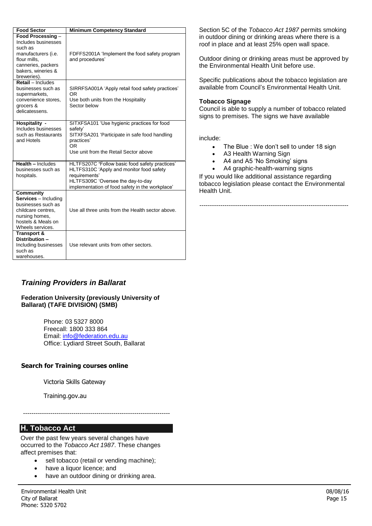| <b>Food Sector</b>                                                                                                                                      | <b>Minimum Competency Standard</b>                                                                                                                                                                  |
|---------------------------------------------------------------------------------------------------------------------------------------------------------|-----------------------------------------------------------------------------------------------------------------------------------------------------------------------------------------------------|
| Food Processing -<br>Includes businesses<br>such as<br>manufacturers (i.e.<br>flour mills.<br>canneries, packers<br>bakers, wineries &<br>breweries).   | FDFFS2001A 'Implement the food safety program<br>and procedures'                                                                                                                                    |
| Retail - Includes<br>businesses such as<br>supermarkets,<br>convenience stores,<br>grocers &<br>delicatessens.                                          | SIRRFSA001A 'Apply retail food safety practices'<br>OR<br>Use both units from the Hospitality<br>Sector below                                                                                       |
| Hospitality -<br>Includes businesses<br>such as Restaurants<br>and Hotels                                                                               | SITXFSA101 'Use hygienic practices for food<br>safety'<br>SITXFSA201 'Participate in safe food handling<br>practices'<br>OR.<br>Use unit from the Retail Sector above                               |
| Health - Includes<br>businesses such as<br>hospitals.                                                                                                   | HLTFS207C 'Follow basic food safety practices'<br>HLTFS310C 'Apply and monitor food safety<br>requirements'<br>HLTFS309C 'Oversee the day-to-day<br>implementation of food safety in the workplace' |
| <b>Community</b><br><b>Services</b> - Including<br>businesses such as<br>childcare centres.<br>nursing homes,<br>hostels & Meals on<br>Wheels services. | Use all three units from the Health sector above.                                                                                                                                                   |
| <b>Transport &amp;</b><br>Distribution -<br>Including businesses<br>such as<br>warehouses.                                                              | Use relevant units from other sectors.                                                                                                                                                              |

Section 5C of the *Tobacco Act 1987* permits smoking in outdoor dining or drinking areas where there is a roof in place and at least 25% open wall space.

Outdoor dining or drinking areas must be approved by the Environmental Health Unit before use.

Specific publications about the tobacco legislation are available from Council's Environmental Health Unit.

#### **Tobacco Signage**

Council is able to supply a number of tobacco related signs to premises. The signs we have available

include:

- The Blue : We don't sell to under 18 sign
- A3 Health Warning Sign
- A4 and A5 'No Smoking' signs
- A4 graphic-health-warning signs

If you would like additional assistance regarding tobacco legislation please contact the Environmental Health Unit.

-----------------------------------------------------------------------

# *Training Providers in Ballarat*

#### **Federation University (previously University of Ballarat) (TAFE DIVISION) (SMB)**

Phone: 03 5327 8000 Freecall: 1800 333 864 Email: info@federation.edu.au Office: Lydiard Street South, Ballarat

#### **Search for Training courses online**

Victoria Skills Gateway

Training.gov.au

**H. Tobacco Act**

Over the past few years several changes have occurred to the *Tobacco Act 1987*. These changes affect premises that:

• sell tobacco (retail or vending machine);

----------------------------------------------------------------------

- have a liquor licence; and
- have an outdoor dining or drinking area.